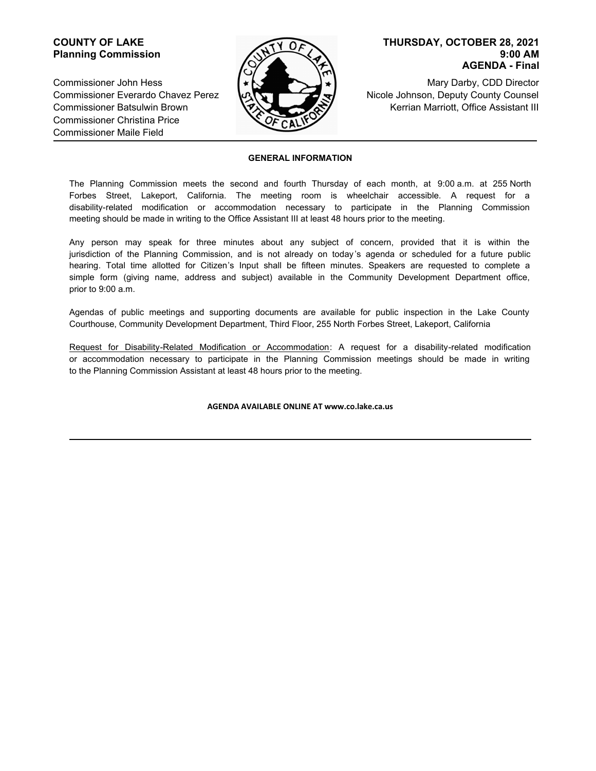## **COUNTY OF LAKE Planning Commission**

Commissioner John Hess Commissioner Everardo Chavez Perez Commissioner Batsulwin Brown Commissioner Christina Price Commissioner Maile Field



### **9:00 AM AGENDA - Final THURSDAY, OCTOBER 28, 2021**

Mary Darby, CDD Director Nicole Johnson, Deputy County Counsel Kerrian Marriott, Office Assistant III

#### **GENERAL INFORMATION**

The Planning Commission meets the second and fourth Thursday of each month, at 9:00 a.m. at 255 North Forbes Street, Lakeport, California. The meeting room is wheelchair accessible. A request for a disability-related modification or accommodation necessary to participate in the Planning Commission meeting should be made in writing to the Office Assistant III at least 48 hours prior to the meeting.

Any person may speak for three minutes about any subject of concern, provided that it is within the jurisdiction of the Planning Commission, and is not already on today 's agenda or scheduled for a future public hearing. Total time allotted for Citizen's Input shall be fifteen minutes. Speakers are requested to complete a simple form (giving name, address and subject) available in the Community Development Department office, prior to 9:00 a.m.

Agendas of public meetings and supporting documents are available for public inspection in the Lake County Courthouse, Community Development Department, Third Floor, 255 North Forbes Street, Lakeport, California

Request for Disability-Related Modification or Accommodation: A request for a disability-related modification or accommodation necessary to participate in the Planning Commission meetings should be made in writing to the Planning Commission Assistant at least 48 hours prior to the meeting.

#### **AGENDA AVAILABLE ONLINE AT www.co.lake.ca.us**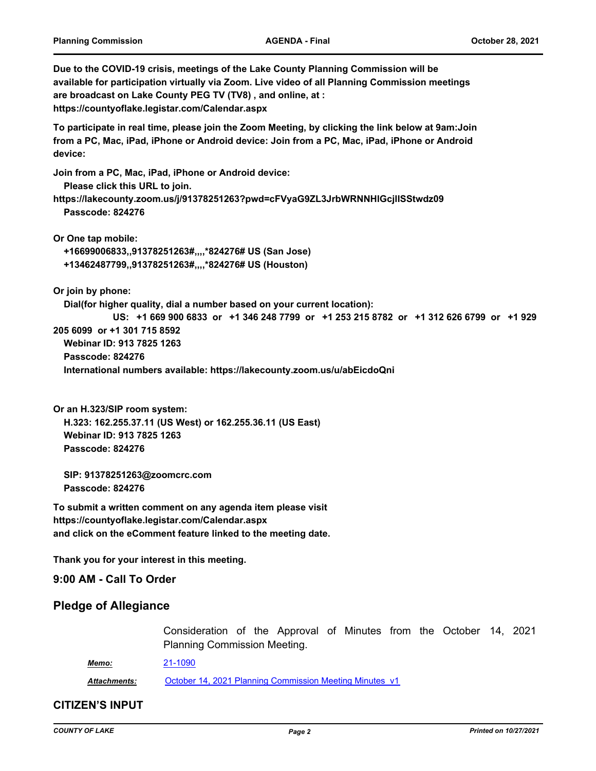**Due to the COVID-19 crisis, meetings of the Lake County Planning Commission will be available for participation virtually via Zoom. Live video of all Planning Commission meetings are broadcast on Lake County PEG TV (TV8) , and online, at : https://countyoflake.legistar.com/Calendar.aspx To participate in real time, please join the Zoom Meeting, by clicking the link below at 9am:Join from a PC, Mac, iPad, iPhone or Android device: Join from a PC, Mac, iPad, iPhone or Android device: Join from a PC, Mac, iPad, iPhone or Android device: Please click this URL to join. https://lakecounty.zoom.us/j/91378251263?pwd=cFVyaG9ZL3JrbWRNNHlGcjlISStwdz09 Passcode: 824276 Or One tap mobile: +16699006833,,91378251263#,,,,\*824276# US (San Jose) +13462487799,,91378251263#,,,,\*824276# US (Houston) Or join by phone: Dial(for higher quality, dial a number based on your current location): US: +1 669 900 6833 or +1 346 248 7799 or +1 253 215 8782 or +1 312 626 6799 or +1 929 205 6099 or +1 301 715 8592 Webinar ID: 913 7825 1263 Passcode: 824276 International numbers available: https://lakecounty.zoom.us/u/abEicdoQni**

**Or an H.323/SIP room system: H.323: 162.255.37.11 (US West) or 162.255.36.11 (US East) Webinar ID: 913 7825 1263 Passcode: 824276**

 **SIP: 91378251263@zoomcrc.com Passcode: 824276**

**To submit a written comment on any agenda item please visit https://countyoflake.legistar.com/Calendar.aspx and click on the eComment feature linked to the meeting date.**

**Thank you for your interest in this meeting.**

**9:00 AM - Call To Order**

## **Pledge of Allegiance**

Consideration of the Approval of Minutes from the October 14, 2021 Planning Commission Meeting.

*Memo:* [21-1090](http://countyoflake.legistar.com/gateway.aspx?m=l&id=/matter.aspx?key=12164)

*Attachments:* [October 14, 2021 Planning Commission Meeting Minutes\\_v1](http://countyoflake.legistar.com/gateway.aspx?M=F&ID=8656ed17-06ce-404e-b0db-dddd551199d7.pdf)

### **CITIZEN'S INPUT**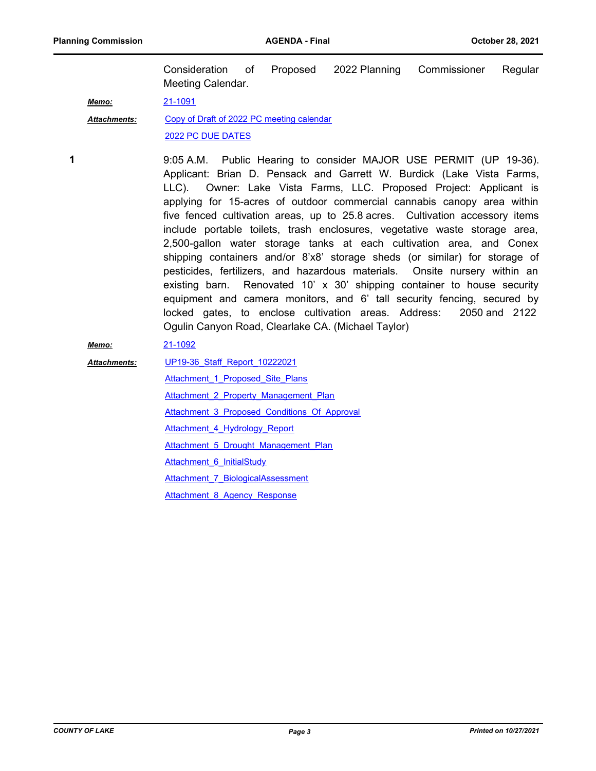Consideration of Proposed 2022 Planning Commissioner Regular Meeting Calendar.

*Memo:* [21-1091](http://countyoflake.legistar.com/gateway.aspx?m=l&id=/matter.aspx?key=12165)

[Copy of Draft of 2022 PC meeting calendar](http://countyoflake.legistar.com/gateway.aspx?M=F&ID=7d5783e9-ec5b-4eed-b9a7-32c2d8b2ec36.pdf) [2022 PC DUE DATES](http://countyoflake.legistar.com/gateway.aspx?M=F&ID=fd51cdae-d943-4626-9c10-d73bcc9862aa.pdf) *Attachments:*

**1**

9:05 A.M. Public Hearing to consider MAJOR USE PERMIT (UP 19-36). Applicant: Brian D. Pensack and Garrett W. Burdick (Lake Vista Farms, LLC). Owner: Lake Vista Farms, LLC. Proposed Project: Applicant is applying for 15-acres of outdoor commercial cannabis canopy area within five fenced cultivation areas, up to 25.8 acres. Cultivation accessory items include portable toilets, trash enclosures, vegetative waste storage area, 2,500-gallon water storage tanks at each cultivation area, and Conex shipping containers and/or 8'x8' storage sheds (or similar) for storage of pesticides, fertilizers, and hazardous materials. Onsite nursery within an existing barn. Renovated 10' x 30' shipping container to house security equipment and camera monitors, and 6' tall security fencing, secured by locked gates, to enclose cultivation areas. Address: 2050 and 2122 Ogulin Canyon Road, Clearlake CA. (Michael Taylor)

### *Memo:* [21-1092](http://countyoflake.legistar.com/gateway.aspx?m=l&id=/matter.aspx?key=12166)

[UP19-36\\_Staff\\_Report\\_10222021](http://countyoflake.legistar.com/gateway.aspx?M=F&ID=a609b8e9-1ea9-41da-af2f-e5e5418c993c.pdf) *Attachments:*

Attachment 1 Proposed Site Plans Attachment 2 Property Management Plan [Attachment\\_3\\_Proposed\\_Conditions\\_Of\\_Approval](http://countyoflake.legistar.com/gateway.aspx?M=F&ID=80bc53c4-897b-4bd8-91d1-249bd6dad667.pdf)

Attachment 4 Hydrology Report

Attachment 5 Drought Management Plan

[Attachment\\_6\\_InitialStudy](http://countyoflake.legistar.com/gateway.aspx?M=F&ID=edc8c4f1-e091-435e-b263-93eff577ea64.pdf)

Attachment 7 BiologicalAssessment

Attachment 8 Agency Response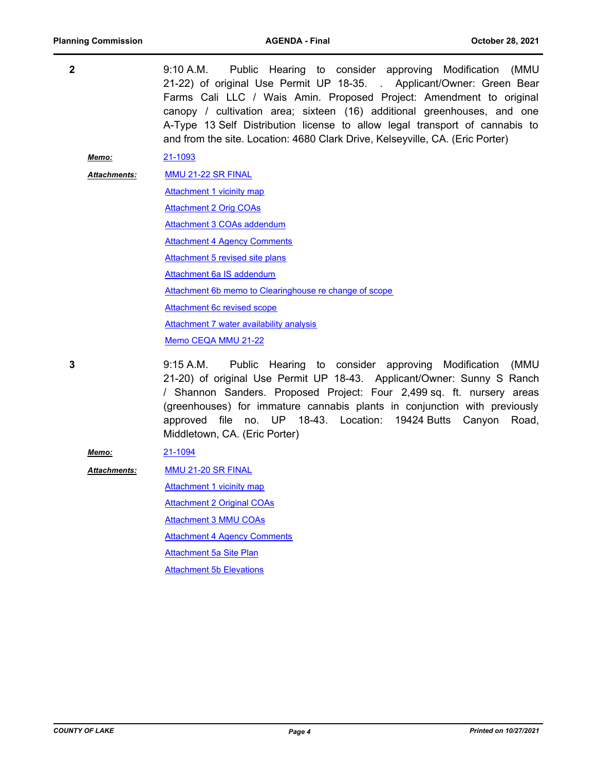| $\mathbf{2}$ |                     | 9:10 A.M.<br>Public Hearing to consider approving Modification<br>(MMU<br>21-22) of original Use Permit UP 18-35. . Applicant/Owner: Green Bear<br>Farms Cali LLC / Wais Amin. Proposed Project: Amendment to original<br>canopy / cultivation area; sixteen (16) additional greenhouses, and one<br>A-Type 13 Self Distribution license to allow legal transport of cannabis to<br>and from the site. Location: 4680 Clark Drive, Kelseyville, CA. (Eric Porter) |
|--------------|---------------------|-------------------------------------------------------------------------------------------------------------------------------------------------------------------------------------------------------------------------------------------------------------------------------------------------------------------------------------------------------------------------------------------------------------------------------------------------------------------|
|              | Memo:               | 21-1093                                                                                                                                                                                                                                                                                                                                                                                                                                                           |
|              | <b>Attachments:</b> | MMU 21-22 SR FINAL                                                                                                                                                                                                                                                                                                                                                                                                                                                |
|              |                     | Attachment 1 vicinity map                                                                                                                                                                                                                                                                                                                                                                                                                                         |
|              |                     | <b>Attachment 2 Orig COAs</b>                                                                                                                                                                                                                                                                                                                                                                                                                                     |
|              |                     | Attachment 3 COAs addendum                                                                                                                                                                                                                                                                                                                                                                                                                                        |
|              |                     | <b>Attachment 4 Agency Comments</b>                                                                                                                                                                                                                                                                                                                                                                                                                               |
|              |                     | Attachment 5 revised site plans                                                                                                                                                                                                                                                                                                                                                                                                                                   |
|              |                     | Attachment 6a IS addendum                                                                                                                                                                                                                                                                                                                                                                                                                                         |
|              |                     | Attachment 6b memo to Clearinghouse re change of scope                                                                                                                                                                                                                                                                                                                                                                                                            |
|              |                     | <b>Attachment 6c revised scope</b>                                                                                                                                                                                                                                                                                                                                                                                                                                |
|              |                     | <b>Attachment 7 water availability analysis</b>                                                                                                                                                                                                                                                                                                                                                                                                                   |
|              |                     | Memo CEQA MMU 21-22                                                                                                                                                                                                                                                                                                                                                                                                                                               |
| 3            |                     | 9:15 A.M.<br>Public Hearing to consider approving Modification<br>(MMU<br>21-20) of original Use Permit UP 18-43. Applicant/Owner: Sunny S Ranch<br>/ Shannon Sanders. Proposed Project: Four 2,499 sq. ft. nursery areas<br>(greenhouses) for immature cannabis plants in conjunction with previously<br>approved file no. UP 18-43. Location: 19424 Butts Canyon<br>Road,<br>Middletown, CA. (Eric Porter)                                                      |
|              | Memo:               | 21-1094                                                                                                                                                                                                                                                                                                                                                                                                                                                           |
|              | <b>Attachments:</b> | MMU 21-20 SR FINAL                                                                                                                                                                                                                                                                                                                                                                                                                                                |
|              |                     | <b>Attachment 1 vicinity map</b>                                                                                                                                                                                                                                                                                                                                                                                                                                  |
|              |                     | <b>Attachment 2 Original COAs</b>                                                                                                                                                                                                                                                                                                                                                                                                                                 |
|              |                     | <b>Attachment 3 MMU COAs</b>                                                                                                                                                                                                                                                                                                                                                                                                                                      |

**[Attachment 4 Agency Comments](http://countyoflake.legistar.com/gateway.aspx?M=F&ID=fb16adc7-084e-44e8-a785-95e3673755e2.pdf)** 

[Attachment 5a Site Plan](http://countyoflake.legistar.com/gateway.aspx?M=F&ID=0e5c09e8-c158-4568-97ea-51309198ed2b.pdf)

**[Attachment 5b Elevations](http://countyoflake.legistar.com/gateway.aspx?M=F&ID=656f5129-b0d7-4d51-846a-8ed8678b1f7a.pdf)**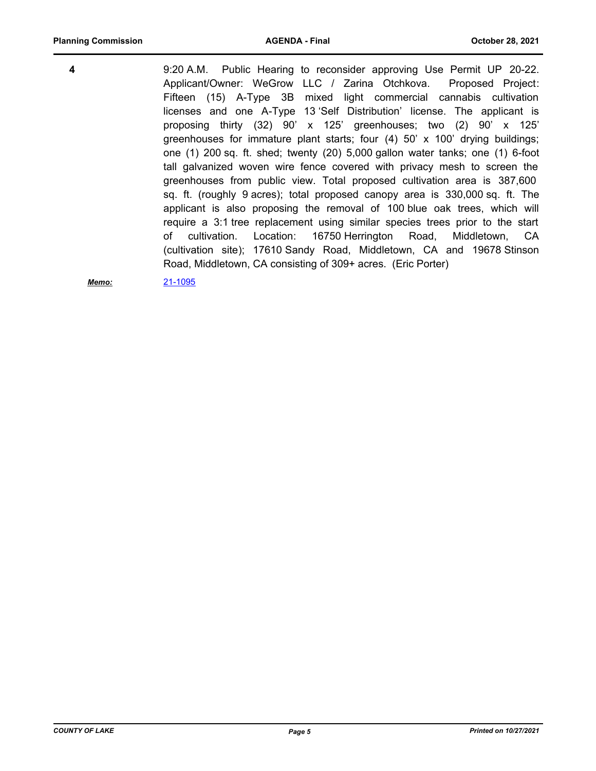9:20 A.M. Public Hearing to reconsider approving Use Permit UP 20-22. Applicant/Owner: WeGrow LLC / Zarina Otchkova. Proposed Project: Fifteen (15) A-Type 3B mixed light commercial cannabis cultivation licenses and one A-Type 13 'Self Distribution' license. The applicant is proposing thirty (32) 90' x 125' greenhouses; two (2) 90' x 125' greenhouses for immature plant starts; four  $(4)$  50' x 100' drying buildings; one (1) 200 sq. ft. shed; twenty (20) 5,000 gallon water tanks; one (1) 6-foot tall galvanized woven wire fence covered with privacy mesh to screen the greenhouses from public view. Total proposed cultivation area is 387,600 sq. ft. (roughly 9 acres); total proposed canopy area is 330,000 sq. ft. The applicant is also proposing the removal of 100 blue oak trees, which will require a 3:1 tree replacement using similar species trees prior to the start of cultivation. Location: 16750 Herrington Road, Middletown, CA (cultivation site); 17610 Sandy Road, Middletown, CA and 19678 Stinson Road, Middletown, CA consisting of 309+ acres. (Eric Porter) **4**

*Memo:* [21-1095](http://countyoflake.legistar.com/gateway.aspx?m=l&id=/matter.aspx?key=12169)